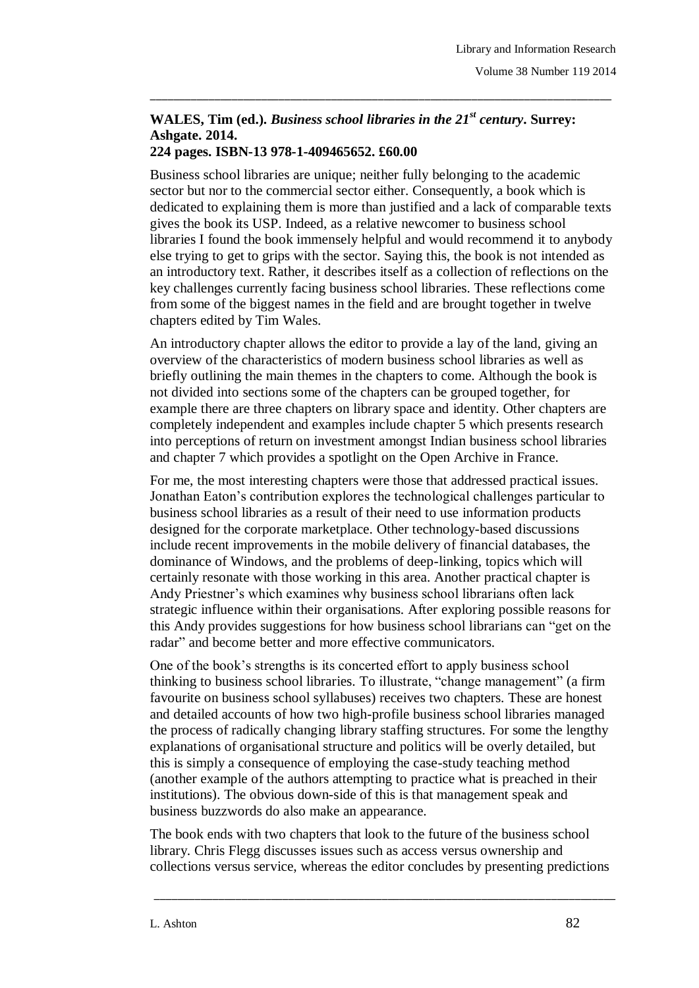## **WALES, Tim (ed.).** *Business school libraries in the 21st century***. Surrey: Ashgate. 2014.**

\_\_\_\_\_\_\_\_\_\_\_\_\_\_\_\_\_\_\_\_\_\_\_\_\_\_\_\_\_\_\_\_\_\_\_\_\_\_\_\_\_\_\_\_\_\_\_\_\_\_\_\_\_\_\_\_\_\_\_\_\_\_\_\_\_\_\_\_\_\_\_\_\_\_\_\_\_\_\_

## **224 pages. ISBN-13 978-1-409465652. £60.00**

Business school libraries are unique; neither fully belonging to the academic sector but nor to the commercial sector either. Consequently, a book which is dedicated to explaining them is more than justified and a lack of comparable texts gives the book its USP. Indeed, as a relative newcomer to business school libraries I found the book immensely helpful and would recommend it to anybody else trying to get to grips with the sector. Saying this, the book is not intended as an introductory text. Rather, it describes itself as a collection of reflections on the key challenges currently facing business school libraries. These reflections come from some of the biggest names in the field and are brought together in twelve chapters edited by Tim Wales.

An introductory chapter allows the editor to provide a lay of the land, giving an overview of the characteristics of modern business school libraries as well as briefly outlining the main themes in the chapters to come. Although the book is not divided into sections some of the chapters can be grouped together, for example there are three chapters on library space and identity. Other chapters are completely independent and examples include chapter 5 which presents research into perceptions of return on investment amongst Indian business school libraries and chapter 7 which provides a spotlight on the Open Archive in France.

For me, the most interesting chapters were those that addressed practical issues. Jonathan Eaton's contribution explores the technological challenges particular to business school libraries as a result of their need to use information products designed for the corporate marketplace. Other technology-based discussions include recent improvements in the mobile delivery of financial databases, the dominance of Windows, and the problems of deep-linking, topics which will certainly resonate with those working in this area. Another practical chapter is Andy Priestner's which examines why business school librarians often lack strategic influence within their organisations. After exploring possible reasons for this Andy provides suggestions for how business school librarians can "get on the radar" and become better and more effective communicators.

One of the book's strengths is its concerted effort to apply business school thinking to business school libraries. To illustrate, "change management" (a firm favourite on business school syllabuses) receives two chapters. These are honest and detailed accounts of how two high-profile business school libraries managed the process of radically changing library staffing structures. For some the lengthy explanations of organisational structure and politics will be overly detailed, but this is simply a consequence of employing the case-study teaching method (another example of the authors attempting to practice what is preached in their institutions). The obvious down-side of this is that management speak and business buzzwords do also make an appearance.

The book ends with two chapters that look to the future of the business school library. Chris Flegg discusses issues such as access versus ownership and collections versus service, whereas the editor concludes by presenting predictions

\_\_\_\_\_\_\_\_\_\_\_\_\_\_\_\_\_\_\_\_\_\_\_\_\_\_\_\_\_\_\_\_\_\_\_\_\_\_\_\_\_\_\_\_\_\_\_\_\_\_\_\_\_\_\_\_\_\_\_\_\_\_\_\_\_\_\_\_\_\_\_\_\_\_\_\_\_\_\_